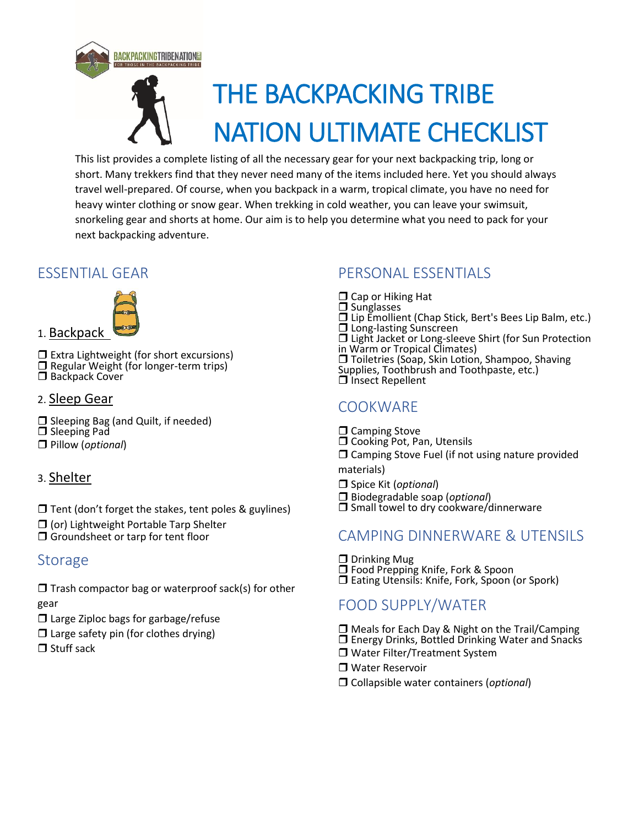

This list provides a complete listing of all the necessary gear for your next backpacking trip, long or short. Many trekkers find that they never need many of the items included here. Yet you should always travel well-prepared. Of course, when you backpack in a warm, tropical climate, you have no need for heavy winter clothing or snow gear. When trekking in cold weather, you can leave your swimsuit, snorkeling gear and shorts at home. Our aim is to help you determine what you need to pack for your next backpacking adventure.

### ESSENTIAL GEAR



 Extra Lightweight (for short excursions) □ Regular Weight (for longer-term trips) Backpack Cover

#### 2. Sleep Gear

- $\Box$  Sleeping Bag (and Quilt, if needed) □ Sleeping Pad
- Pillow (*optional*)

#### 3. Shelter

 $\Box$  Tent (don't forget the stakes, tent poles & guylines)

- $\Box$  (or) Lightweight Portable Tarp Shelter
- □ Groundsheet or tarp for tent floor

# **Storage**

 $\Box$  Trash compactor bag or waterproof sack(s) for other gear

- $\Box$  Large Ziploc bags for garbage/refuse
- $\Box$  Large safety pin (for clothes drying)
- $\Box$  Stuff sack

## PERSONAL ESSENTIALS

 $\Box$  Cap or Hiking Hat  $\Box$  Sunglasses Lip Emollient (Chap Stick, Bert's Bees Lip Balm, etc.)  $\square$  Long-lasting Sunscreen Light Jacket or Long-sleeve Shirt (for Sun Protection in Warm or Tropical Climates) □ Toiletries (Soap, Skin Lotion, Shampoo, Shaving Supplies, Toothbrush and Toothpaste, etc.)  $\square$  insect Repellent

## **COOKWARE**

 $\Box$  Camping Stove

- O Cooking Pot, Pan, Utensils
- $\Box$  Camping Stove Fuel (if not using nature provided

materials)

Spice Kit (*optional*)

- Biodegradable soap (*optional*)
- $\square$  Small towel to dry cookware/dinnerware

### CAMPING DINNERWARE & UTENSILS

 $\square$  Drinking Mug □ Food Prepping Knife, Fork & Spoon  $\Box$  Eating Utensils: Knife, Fork, Spoon (or Spork)

# FOOD SUPPLY/WATER

- □ Meals for Each Day & Night on the Trail/Camping
- □ Energy Drinks, Bottled Drinking Water and Snacks
- □ Water Filter/Treatment System
- Water Reservoir
- Collapsible water containers (*optional*)